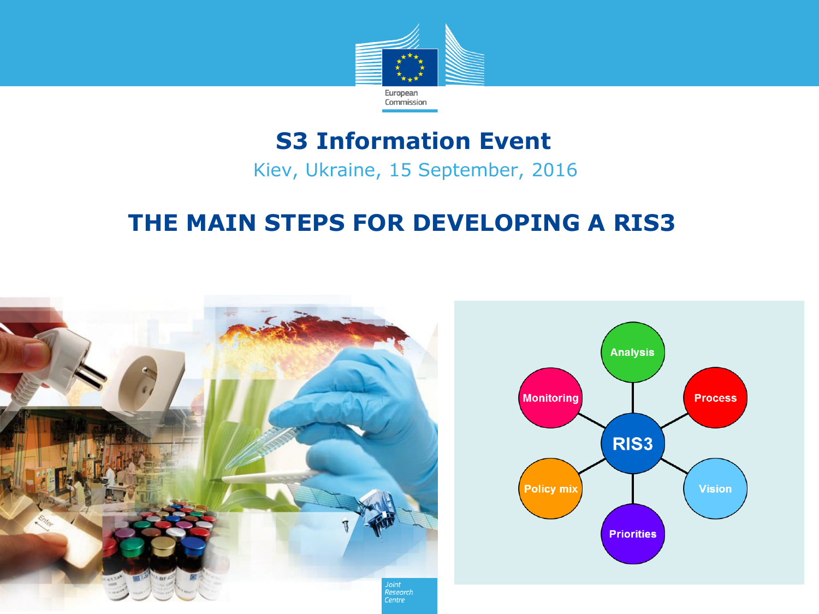

#### **S3 Information Event**

Kiev, Ukraine, 15 September, 2016

#### **THE MAIN STEPS FOR DEVELOPING A RIS3**



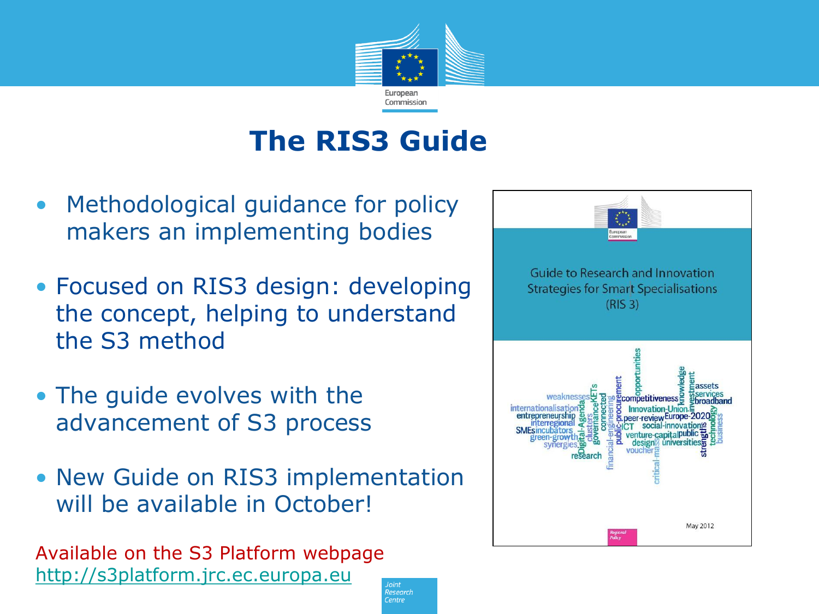

### **The RIS3 Guide**

lesearch Centre

- Methodological guidance for policy makers an implementing bodies
- Focused on RIS3 design: developing the concept, helping to understand the S3 method
- The guide evolves with the advancement of S3 process
- New Guide on RIS3 implementation will be available in October!

Available on the S3 Platform webpage [http://s3platform.jrc.ec.europa.eu](http://s3platform.jrc.ec.europa.eu/)

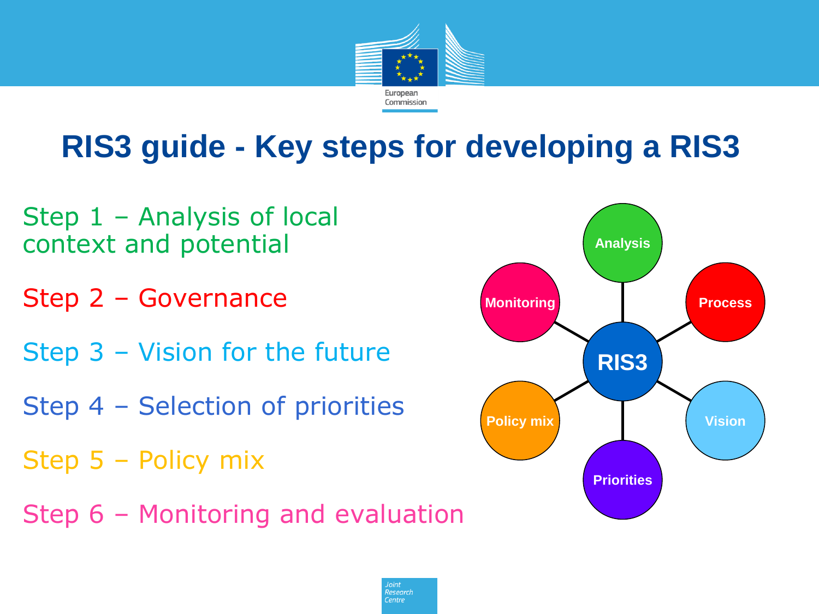

# **RIS3 guide - Key steps for developing a RIS3**

- Step 1 Analysis of local context and potential
- Step 2 Governance
- Step 3 Vision for the future
- Step 4 Selection of priorities
- Step 5 Policy mix
- Step 6 Monitoring and evaluation



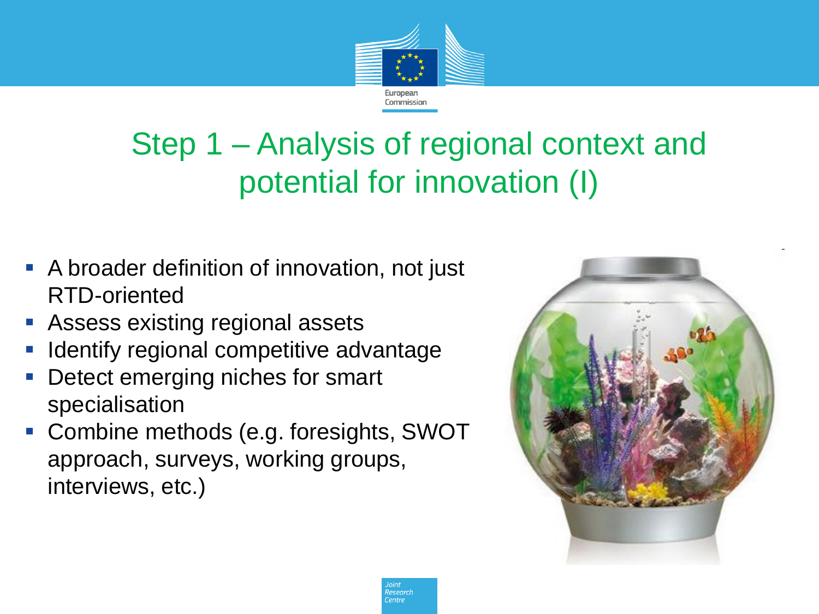

# Step 1 – Analysis of regional context and potential for innovation (I)

- **A broader definition of innovation, not just** RTD-oriented
- Assess existing regional assets
- Identify regional competitive advantage
- **-** Detect emerging niches for smart specialisation
- Combine methods (e.g. foresights, SWOT approach, surveys, working groups, interviews, etc.)



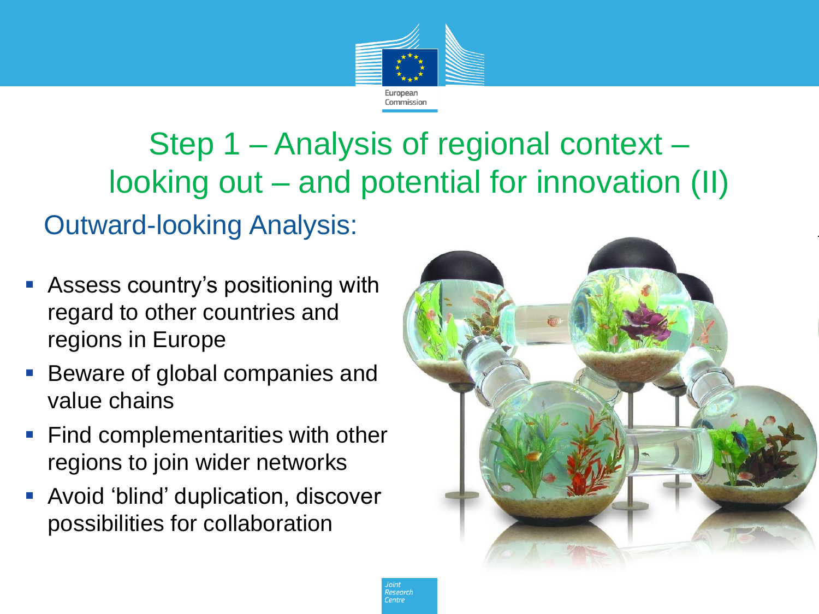

Step 1 – Analysis of regional context – looking out – and potential for innovation (II) Outward-looking Analysis:

- Assess country's positioning with regard to other countries and regions in Europe
- Beware of global companies and value chains
- Find complementarities with other regions to join wider networks
- Avoid 'blind' duplication, discover possibilities for collaboration

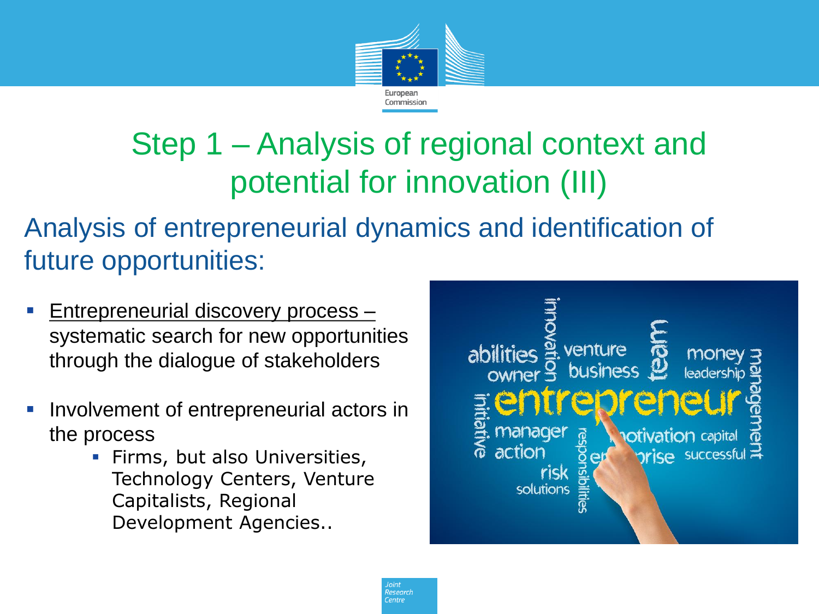

## Step 1 – Analysis of regional context and potential for innovation (III)

Analysis of entrepreneurial dynamics and identification of future opportunities:

- **Entrepreneurial discovery process** systematic search for new opportunities through the dialogue of stakeholders
- **Involvement of entrepreneurial actors in** the process
	- **Firms, but also Universities,** Technology Centers, Venture Capitalists, Regional Development Agencies..

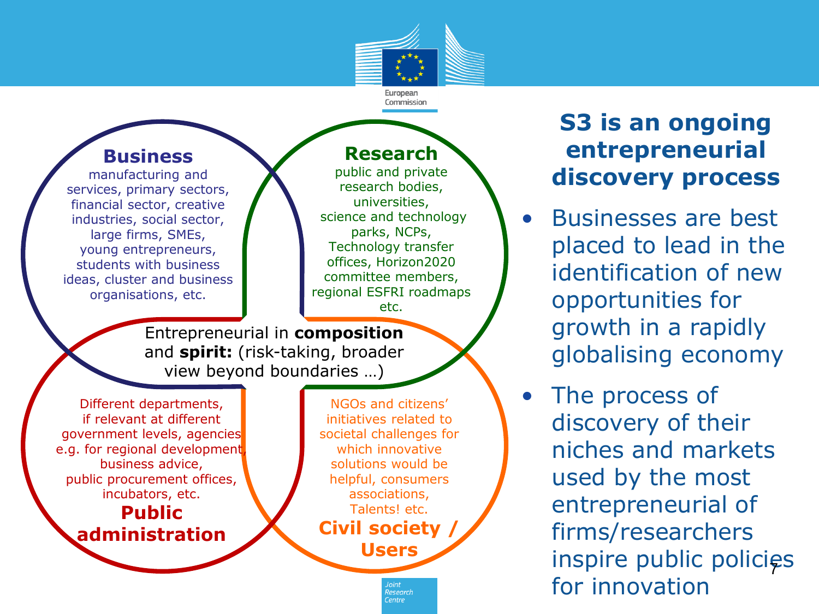

#### **Business**

manufacturing and services, primary sectors, financial sector, creative industries, social sector, large firms, SMEs, young entrepreneurs, students with business ideas, cluster and business organisations, etc.

#### **Research**

public and private research bodies, universities, science and technology parks, NCPs, Technology transfer offices, Horizon2020 committee members, regional ESFRI roadmaps etc.

Entrepreneurial in **composition** and **spirit:** (risk-taking, broader view beyond boundaries …)

Different departments, if relevant at different government levels, agencies e.g. for regional development business advice, public procurement offices, incubators, etc. **Public administration**

NGOs and citizens' initiatives related to societal challenges for which innovative solutions would be helpful, consumers associations, Talents! etc. **Civil society / Users**

> esearrt  $\epsilon$ <sub>pntrp</sub>

#### **S3 is an ongoing entrepreneurial discovery process**

- Businesses are best placed to lead in the identification of new opportunities for growth in a rapidly globalising economy
- The process of discovery of their niches and markets used by the most entrepreneurial of firms/researchers inspire public policies for innovation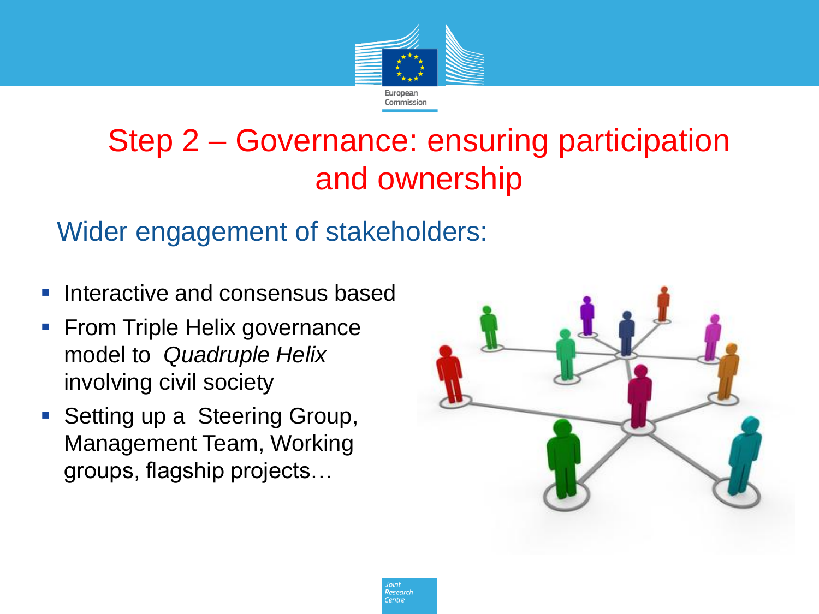

### Step 2 – Governance: ensuring participation and ownership

#### Wider engagement of stakeholders:

- **Interactive and consensus based**
- **From Triple Helix governance** model to *Quadruple Helix*  involving civil society
- Setting up a Steering Group, Management Team, Working groups, flagship projects…

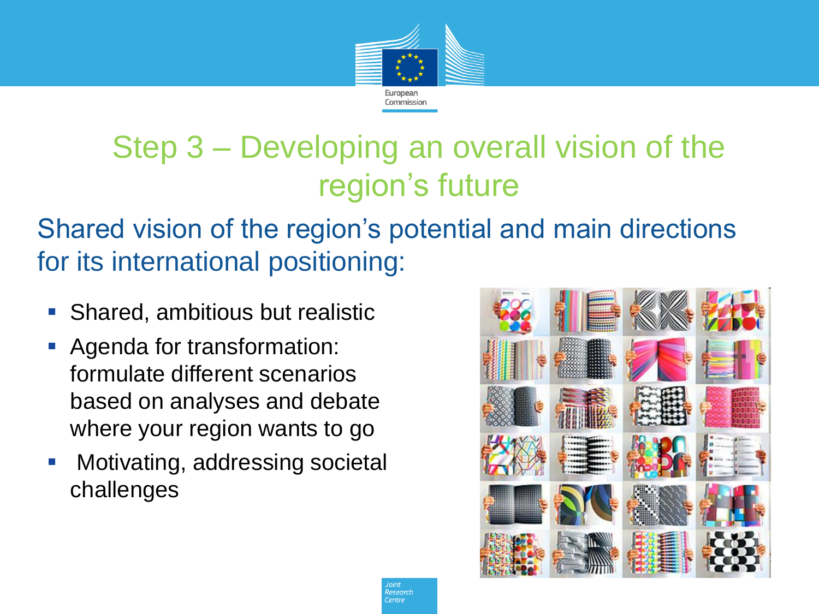

## Step 3 – Developing an overall vision of the region's future

Shared vision of the region's potential and main directions for its international positioning:

- **Shared, ambitious but realistic**
- Agenda for transformation: formulate different scenarios based on analyses and debate where your region wants to go
- **Motivating, addressing societal** challenges



?esearch **Pontre**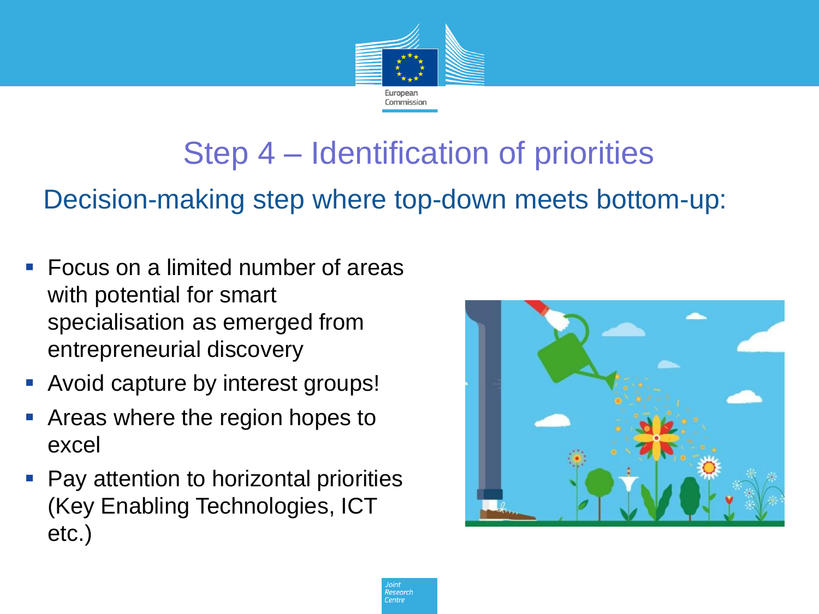

## Step 4 – Identification of priorities

Decision-making step where top-down meets bottom-up:

- Focus on a limited number of areas with potential for smart specialisation as emerged from entrepreneurial discovery
- **-** Avoid capture by interest groups!
- Areas where the region hopes to excel
- Pay attention to horizontal priorities (Key Enabling Technologies, ICT etc.)



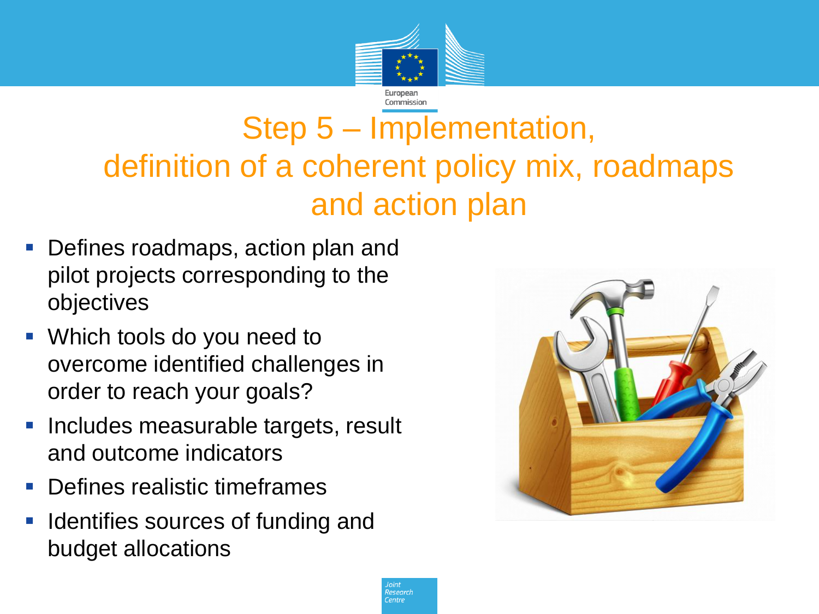

## Step 5 – Implementation, definition of a coherent policy mix, roadmaps and action plan

- **Defines roadmaps, action plan and** pilot projects corresponding to the objectives
- Which tools do you need to overcome identified challenges in order to reach your goals?
- **Includes measurable targets, result** and outcome indicators
- **Defines realistic timeframes**
- Identifies sources of funding and budget allocations

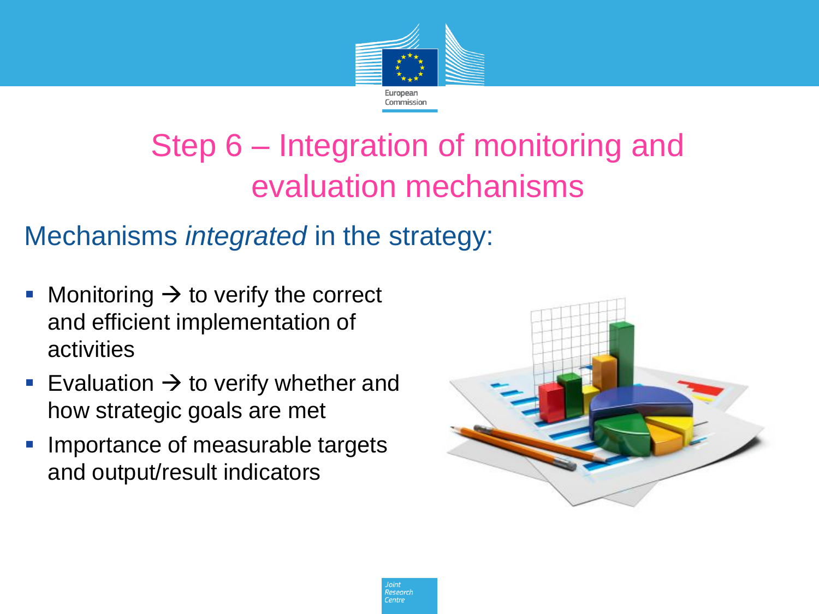

# Step 6 – Integration of monitoring and evaluation mechanisms

### Mechanisms *integrated* in the strategy:

- Monitoring  $\rightarrow$  to verify the correct and efficient implementation of activities
- Evaluation  $\rightarrow$  to verify whether and how strategic goals are met
- Importance of measurable targets and output/result indicators



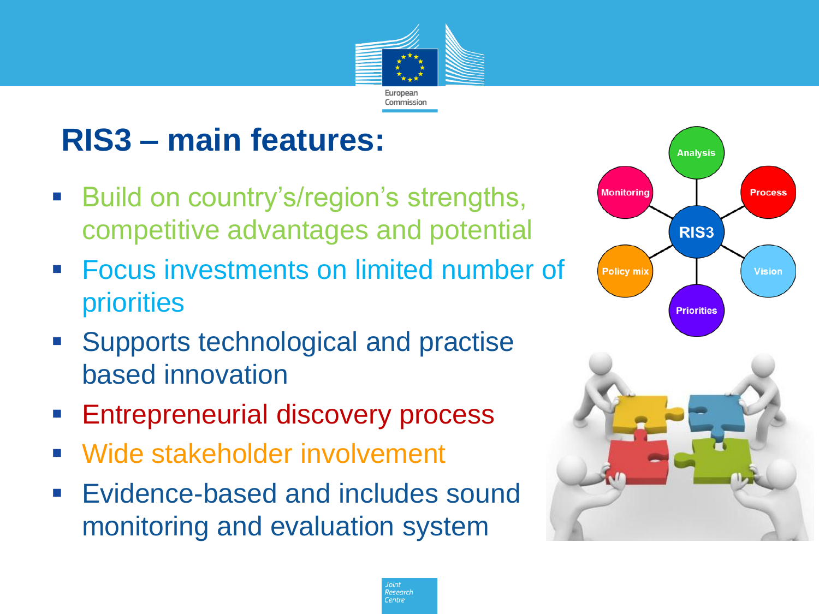

**Searc** 

# **RIS3 – main features:**

- **Build on country's/region's strengths,** competitive advantages and potential
- **Focus investments on limited number of** priorities
- **Supports technological and practise** based innovation
- **Entrepreneurial discovery process**
- Wide stakeholder involvement
- **Evidence-based and includes sound** monitoring and evaluation system